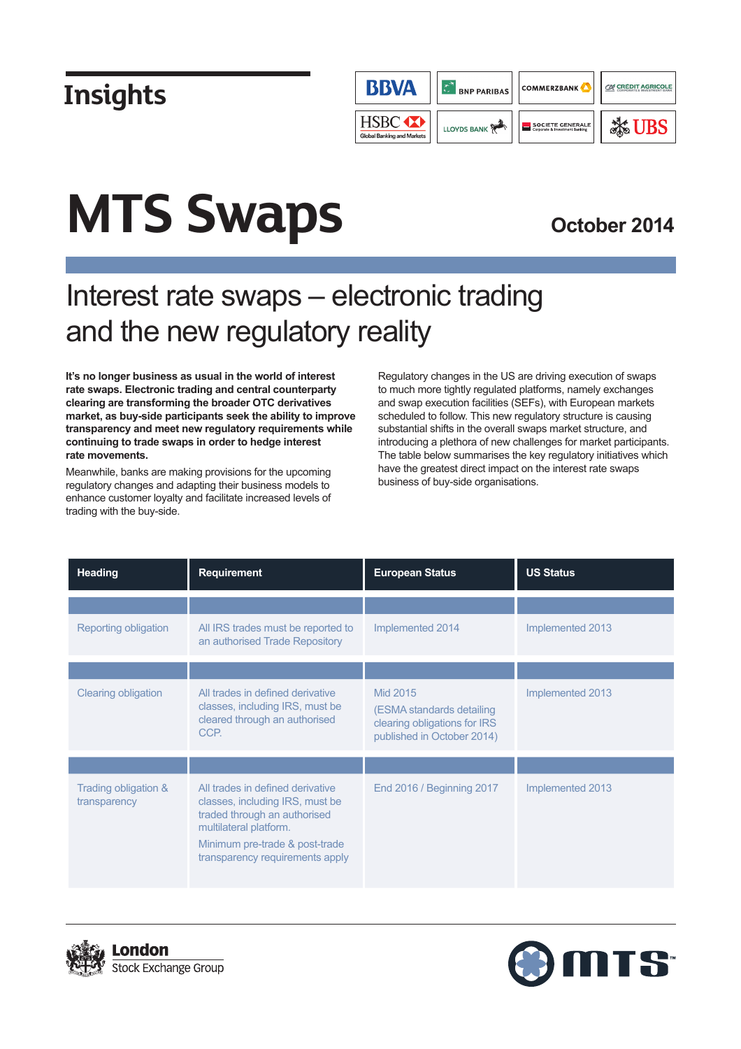

# **MTS Swaps**

### **October 2014**

## Interest rate swaps – electronic trading and the new regulatory reality

**It's no longer business as usual in the world of interest rate swaps. Electronic trading and central counterparty clearing are transforming the broader OTC derivatives market, as buy-side participants seek the ability to improve transparency and meet new regulatory requirements while continuing to trade swaps in order to hedge interest rate movements.**

Meanwhile, banks are making provisions for the upcoming regulatory changes and adapting their business models to enhance customer loyalty and facilitate increased levels of trading with the buy-side.

Regulatory changes in the US are driving execution of swaps to much more tightly regulated platforms, namely exchanges and swap execution facilities (SEFs), with European markets scheduled to follow. This new regulatory structure is causing substantial shifts in the overall swaps market structure, and introducing a plethora of new challenges for market participants. The table below summarises the key regulatory initiatives which have the greatest direct impact on the interest rate swaps business of buy-side organisations.

| <b>Heading</b>                       | <b>Requirement</b>                                                                                                                                                                                 | <b>European Status</b>                                                                              | <b>US Status</b> |
|--------------------------------------|----------------------------------------------------------------------------------------------------------------------------------------------------------------------------------------------------|-----------------------------------------------------------------------------------------------------|------------------|
|                                      |                                                                                                                                                                                                    |                                                                                                     |                  |
| Reporting obligation                 | All IRS trades must be reported to<br>an authorised Trade Repository                                                                                                                               | Implemented 2014                                                                                    | Implemented 2013 |
|                                      |                                                                                                                                                                                                    |                                                                                                     |                  |
| <b>Clearing obligation</b>           | All trades in defined derivative<br>classes, including IRS, must be<br>cleared through an authorised<br>CCP.                                                                                       | Mid 2015<br>(ESMA standards detailing<br>clearing obligations for IRS<br>published in October 2014) | Implemented 2013 |
|                                      |                                                                                                                                                                                                    |                                                                                                     |                  |
| Trading obligation &<br>transparency | All trades in defined derivative<br>classes, including IRS, must be<br>traded through an authorised<br>multilateral platform.<br>Minimum pre-trade & post-trade<br>transparency requirements apply | End 2016 / Beginning 2017                                                                           | Implemented 2013 |



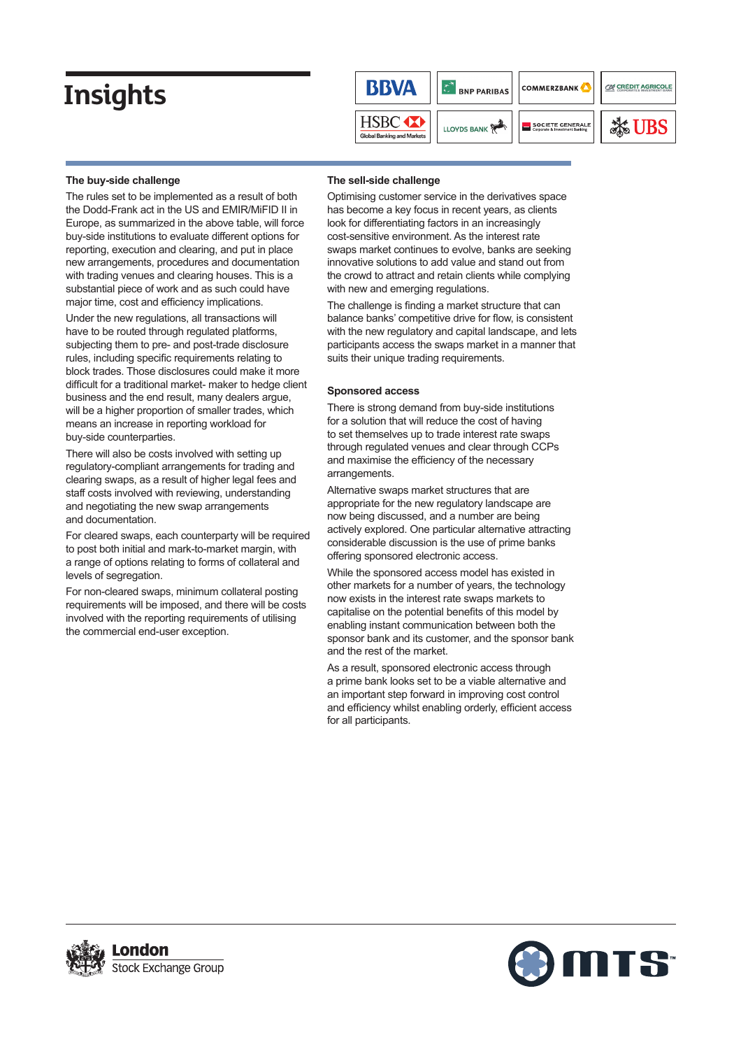

#### **The buy-side challenge**

The rules set to be implemented as a result of both the Dodd-Frank act in the US and EMIR/MiFID II in Europe, as summarized in the above table, will force buy-side institutions to evaluate different options for reporting, execution and clearing, and put in place new arrangements, procedures and documentation with trading venues and clearing houses. This is a substantial piece of work and as such could have major time, cost and efficiency implications.

Under the new regulations, all transactions will have to be routed through regulated platforms, subjecting them to pre- and post-trade disclosure rules, including specific requirements relating to block trades. Those disclosures could make it more difficult for a traditional market- maker to hedge client business and the end result, many dealers argue, will be a higher proportion of smaller trades, which means an increase in reporting workload for buy-side counterparties.

There will also be costs involved with setting up regulatory-compliant arrangements for trading and clearing swaps, as a result of higher legal fees and staff costs involved with reviewing, understanding and negotiating the new swap arrangements and documentation.

For cleared swaps, each counterparty will be required to post both initial and mark-to-market margin, with a range of options relating to forms of collateral and levels of segregation.

For non-cleared swaps, minimum collateral posting requirements will be imposed, and there will be costs involved with the reporting requirements of utilising the commercial end-user exception.

#### **The sell-side challenge**

Optimising customer service in the derivatives space has become a key focus in recent years, as clients look for differentiating factors in an increasingly cost-sensitive environment. As the interest rate swaps market continues to evolve, banks are seeking innovative solutions to add value and stand out from the crowd to attract and retain clients while complying with new and emerging regulations.

The challenge is finding a market structure that can balance banks' competitive drive for flow, is consistent with the new regulatory and capital landscape, and lets participants access the swaps market in a manner that suits their unique trading requirements.

### **Sponsored access**

There is strong demand from buy-side institutions for a solution that will reduce the cost of having to set themselves up to trade interest rate swaps through regulated venues and clear through CCPs and maximise the efficiency of the necessary arrangements.

Alternative swaps market structures that are appropriate for the new regulatory landscape are now being discussed, and a number are being actively explored. One particular alternative attracting considerable discussion is the use of prime banks offering sponsored electronic access.

While the sponsored access model has existed in other markets for a number of years, the technology now exists in the interest rate swaps markets to capitalise on the potential benefits of this model by enabling instant communication between both the sponsor bank and its customer, and the sponsor bank and the rest of the market.

As a result, sponsored electronic access through a prime bank looks set to be a viable alternative and an important step forward in improving cost control and efficiency whilst enabling orderly, efficient access for all participants.



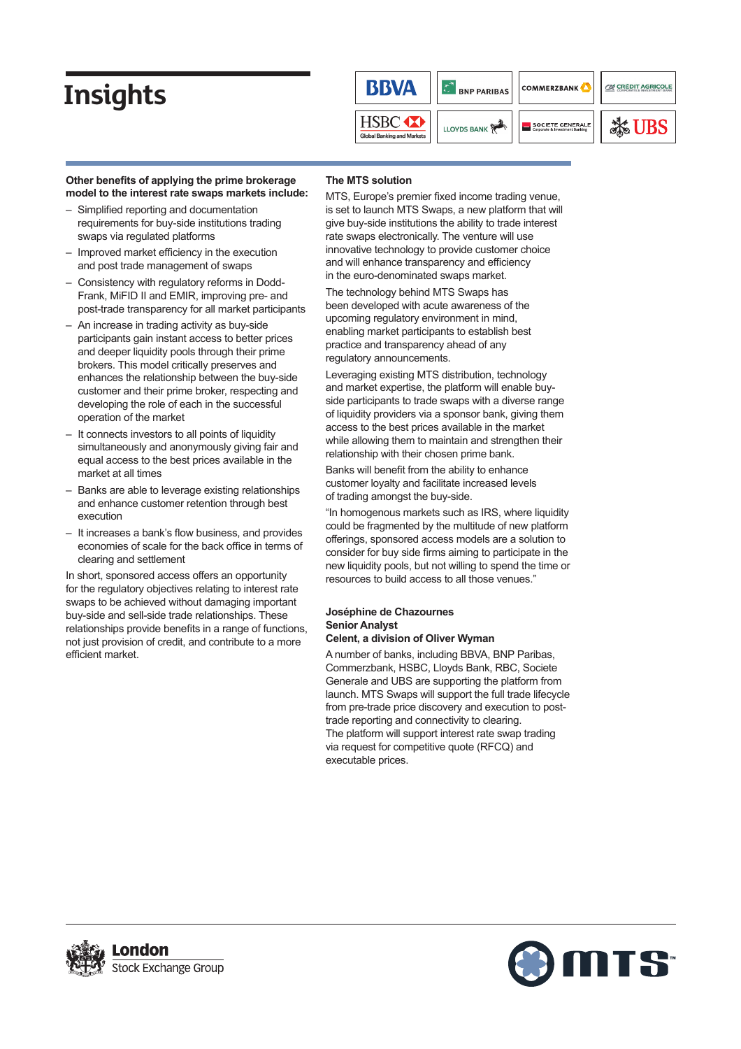

#### Other benefits of applying the prime brokerage **model to the interest rate swaps markets include:**

- Simplified reporting and documentation requirements for buy-side institutions trading swaps via regulated platforms
- $-$  Improved market efficiency in the execution and post trade management of swaps
- Consistency with regulatory reforms in Dodd-Frank, MiFID II and EMIR, improving pre- and post-trade transparency for all market participants
- An increase in trading activity as buy-side participants gain instant access to better prices and deeper liquidity pools through their prime brokers. This model critically preserves and enhances the relationship between the buy-side customer and their prime broker, respecting and developing the role of each in the successful operation of the market
- It connects investors to all points of liquidity simultaneously and anonymously giving fair and equal access to the best prices available in the market at all times
- Banks are able to leverage existing relationships and enhance customer retention through best execution
- It increases a bank's flow business, and provides economies of scale for the back office in terms of clearing and settlement

In short, sponsored access offers an opportunity for the regulatory objectives relating to interest rate swaps to be achieved without damaging important buy-side and sell-side trade relationships. These relationships provide benefits in a range of functions, not just provision of credit, and contribute to a more efficient market.

### **The MTS solution**

MTS, Europe's premier fixed income trading venue, is set to launch MTS Swaps, a new platform that will give buy-side institutions the ability to trade interest rate swaps electronically. The venture will use innovative technology to provide customer choice and will enhance transparency and efficiency in the euro-denominated swaps market.

The technology behind MTS Swaps has been developed with acute awareness of the upcoming regulatory environment in mind, enabling market participants to establish best practice and transparency ahead of any regulatory announcements.

Leveraging existing MTS distribution, technology and market expertise, the platform will enable buyside participants to trade swaps with a diverse range of liquidity providers via a sponsor bank, giving them access to the best prices available in the market while allowing them to maintain and strengthen their relationship with their chosen prime bank.

Banks will benefit from the ability to enhance customer loyalty and facilitate increased levels of trading amongst the buy-side.

"In homogenous markets such as IRS, where liquidity could be fragmented by the multitude of new platform offerings, sponsored access models are a solution to consider for buy side firms aiming to participate in the new liquidity pools, but not willing to spend the time or resources to build access to all those venues."

#### **Joséphine de Chazournes Senior Analyst Celent, a division of Oliver Wyman**

A number of banks, including BBVA, BNP Paribas, Commerzbank, HSBC, Lloyds Bank, RBC, Societe Generale and UBS are supporting the platform from launch. MTS Swaps will support the full trade lifecycle from pre-trade price discovery and execution to posttrade reporting and connectivity to clearing. The platform will support interest rate swap trading via request for competitive quote (RFCQ) and executable prices.